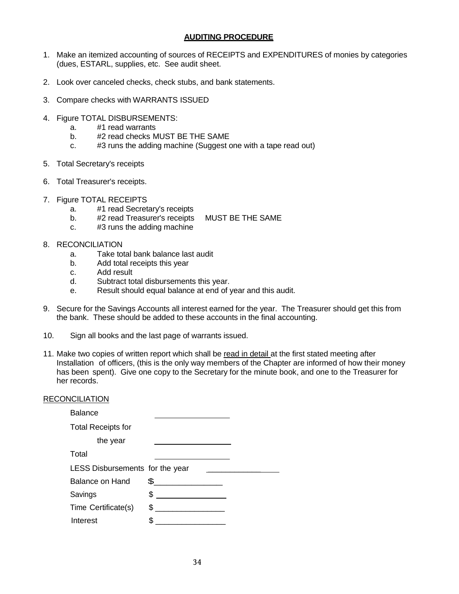## **AUDITING PROCEDURE**

- 1. Make an itemized accounting of sources of RECEIPTS and EXPENDITURES of monies by categories (dues, ESTARL, supplies, etc. See audit sheet.
- 2. Look over canceled checks, check stubs, and bank statements.
- 3. Compare checks with WARRANTS ISSUED
- 4. Figure TOTAL DISBURSEMENTS:
	- a. #1 read warrants<br>b. #2 read checks M
	- #2 read checks MUST BE THE SAME
	- c. #3 runs the adding machine (Suggest one with a tape read out)
- 5. Total Secretary's receipts
- 6. Total Treasurer's receipts.
- 7. Figure TOTAL RECEIPTS
	- a. #1 read Secretary's receipts
	- b. #2 read Treasurer's receipts MUST BE THE SAME
	- c. #3 runs the adding machine
- 8. RECONCILIATION
	- a. Take total bank balance last audit
	- b. Add total receipts this year
	- c. Add result
	- d. Subtract total disbursements this year.
	- e. Result should equal balance at end of year and this audit.
- 9. Secure for the Savings Accounts all interest earned for the year. The Treasurer should get this from the bank. These should be added to these accounts in the final accounting.
- 10. Sign all books and the last page of warrants issued.
- 11. Make two copies of written report which shall be read in detail at the first stated meeting after Installation of officers, (this is the only way members of the Chapter are informed of how their money has been spent). Give one copy to the Secretary for the minute book, and one to the Treasurer for her records.

## RECONCILIATION

| <b>Balance</b>                  |   |  |
|---------------------------------|---|--|
| <b>Total Receipts for</b>       |   |  |
| the year                        |   |  |
| Total                           |   |  |
| LESS Disbursements for the year |   |  |
| Balance on Hand                 | £ |  |
| Savings                         | S |  |
| Time Certificate(s)             | S |  |
| Interest                        |   |  |